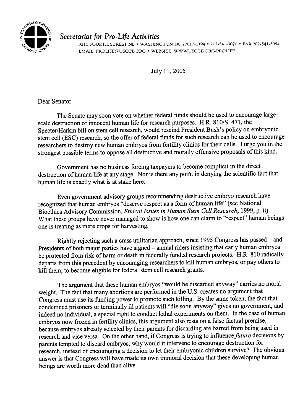

## Secretariat for Pro-Life Activities

3211 FOURTH STREET NE . WASHINGTON DC 20017-1194 . 202-541-3070 . FAX 202-541-3054 EMAIL: PROLIFE@USCCB.ORG . WEBSITE: WWW.USCCB.ORG/PROLIFE

July 11, 2005

Dear Senator:

The Senate may soon vote on whether federal funds should be used to encourage largescale destruction of innocent human life for research purposes. H.R. 810/S. 471, the Specter/Harkin bill on stem cell research, would rescind President Bush's policy on embryonic stem cell (ESC) research, so the offer of federal funds for such research can be used to encourage researchers to destroy new human embryos from fertility clinics for their cells. I urge you in the strongest possible terms to oppose all destructive and morally offensive proposals of this kind.

Government has no business forcing taxpayers to become complicit in the direct destruction of human life at any stage. Nor is there any point in denying the scientific fact that human life is exactly what is at stake here.

Even government advisory groups recommending destructive embryo research have recognized that human embryos "deserve respect as a form of human life" (see National Bioethics Advisory Commission, Ethical Issues in Human Stem Cell Research, 1999, p. ii). What these groups have never managed to show is how one can claim to "respect" human beings one is treating as mere crops for harvesting.

Rightly rejecting such a crass utilitarian approach, since 1995 Congress has passed – and Presidents of both major parties have signed - annual riders insisting that early human embryos be protected from risk of harm or death in federally funded research projects. H.R. 810 radically departs from this precedent by encouraging researchers to kill human embryos, or pay others to kill them, to become eligible for federal stem cell research grants.

The argument that these human embryos "would be discarded anyway" carries no moral weight. The fact that many abortions are performed in the U .S. creates no argument that Congress must use its funding power to promote such killing. By the same token, the fact that condemned prisoners or terminally ill patients will "die soon anyway" gives no government, and indeed no individual, a special right to conduct lethal experiments on them. In the case of human embryos now frozen in fertility clinics, this argument also rests on a false factual premise, because embryos already selected by their parents for discarding are barred from being used in research and vice versa. On the other hand, if Congress is trying to influence future decisions by parents tempted to discard embryos, why would it intervene to encourage destruction for research, instead of encouraging a decision to let their embryonic children survive? The obvious answer is that Congress will have made its own immoral decision that these developing human beings are worth more dead than alive.